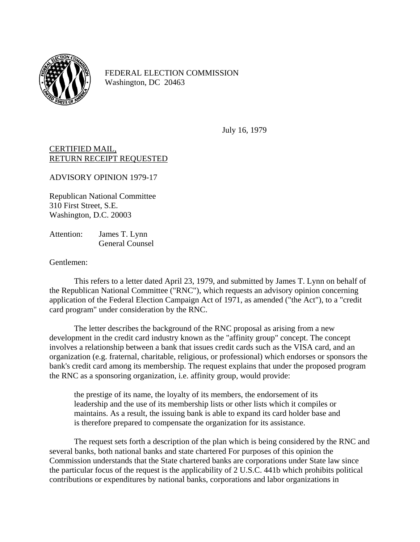

FEDERAL ELECTION COMMISSION Washington, DC 20463

July 16, 1979

CERTIFIED MAIL, RETURN RECEIPT REQUESTED

ADVISORY OPINION 1979-17

Republican National Committee 310 First Street, S.E. Washington, D.C. 20003

Attention: James T. Lynn General Counsel

Gentlemen:

This refers to a letter dated April 23, 1979, and submitted by James T. Lynn on behalf of the Republican National Committee ("RNC"), which requests an advisory opinion concerning application of the Federal Election Campaign Act of 1971, as amended ("the Act"), to a "credit card program" under consideration by the RNC.

The letter describes the background of the RNC proposal as arising from a new development in the credit card industry known as the "affinity group" concept. The concept involves a relationship between a bank that issues credit cards such as the VISA card, and an organization (e.g. fraternal, charitable, religious, or professional) which endorses or sponsors the bank's credit card among its membership. The request explains that under the proposed program the RNC as a sponsoring organization, i.e. affinity group, would provide:

the prestige of its name, the loyalty of its members, the endorsement of its leadership and the use of its membership lists or other lists which it compiles or maintains. As a result, the issuing bank is able to expand its card holder base and is therefore prepared to compensate the organization for its assistance.

The request sets forth a description of the plan which is being considered by the RNC and several banks, both national banks and state chartered For purposes of this opinion the Commission understands that the State chartered banks are corporations under State law since the particular focus of the request is the applicability of 2 U.S.C. 441b which prohibits political contributions or expenditures by national banks, corporations and labor organizations in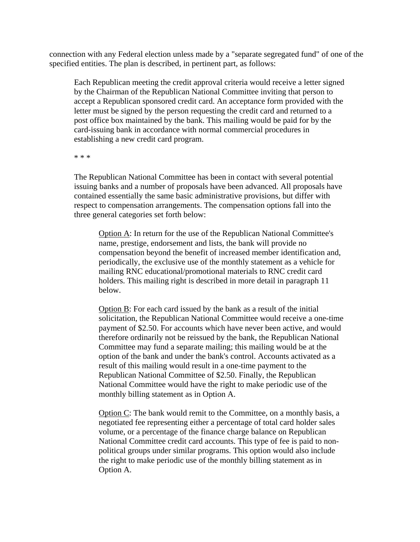connection with any Federal election unless made by a "separate segregated fund" of one of the specified entities. The plan is described, in pertinent part, as follows:

Each Republican meeting the credit approval criteria would receive a letter signed by the Chairman of the Republican National Committee inviting that person to accept a Republican sponsored credit card. An acceptance form provided with the letter must be signed by the person requesting the credit card and returned to a post office box maintained by the bank. This mailing would be paid for by the card-issuing bank in accordance with normal commercial procedures in establishing a new credit card program.

\* \* \*

The Republican National Committee has been in contact with several potential issuing banks and a number of proposals have been advanced. All proposals have contained essentially the same basic administrative provisions, but differ with respect to compensation arrangements. The compensation options fall into the three general categories set forth below:

Option A: In return for the use of the Republican National Committee's name, prestige, endorsement and lists, the bank will provide no compensation beyond the benefit of increased member identification and, periodically, the exclusive use of the monthly statement as a vehicle for mailing RNC educational/promotional materials to RNC credit card holders. This mailing right is described in more detail in paragraph 11 below.

Option B: For each card issued by the bank as a result of the initial solicitation, the Republican National Committee would receive a one-time payment of \$2.50. For accounts which have never been active, and would therefore ordinarily not be reissued by the bank, the Republican National Committee may fund a separate mailing; this mailing would be at the option of the bank and under the bank's control. Accounts activated as a result of this mailing would result in a one-time payment to the Republican National Committee of \$2.50. Finally, the Republican National Committee would have the right to make periodic use of the monthly billing statement as in Option A.

Option C: The bank would remit to the Committee, on a monthly basis, a negotiated fee representing either a percentage of total card holder sales volume, or a percentage of the finance charge balance on Republican National Committee credit card accounts. This type of fee is paid to nonpolitical groups under similar programs. This option would also include the right to make periodic use of the monthly billing statement as in Option A.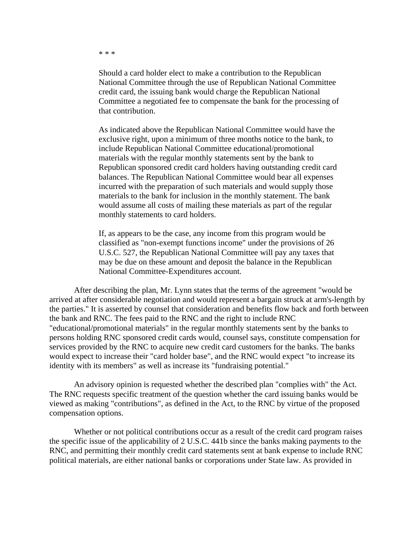\* \* \*

Should a card holder elect to make a contribution to the Republican National Committee through the use of Republican National Committee credit card, the issuing bank would charge the Republican National Committee a negotiated fee to compensate the bank for the processing of that contribution.

As indicated above the Republican National Committee would have the exclusive right, upon a minimum of three months notice to the bank, to include Republican National Committee educational/promotional materials with the regular monthly statements sent by the bank to Republican sponsored credit card holders having outstanding credit card balances. The Republican National Committee would bear all expenses incurred with the preparation of such materials and would supply those materials to the bank for inclusion in the monthly statement. The bank would assume all costs of mailing these materials as part of the regular monthly statements to card holders.

If, as appears to be the case, any income from this program would be classified as "non-exempt functions income" under the provisions of 26 U.S.C. 527, the Republican National Committee will pay any taxes that may be due on these amount and deposit the balance in the Republican National Committee-Expenditures account.

After describing the plan, Mr. Lynn states that the terms of the agreement "would be arrived at after considerable negotiation and would represent a bargain struck at arm's-length by the parties." It is asserted by counsel that consideration and benefits flow back and forth between the bank and RNC. The fees paid to the RNC and the right to include RNC "educational/promotional materials" in the regular monthly statements sent by the banks to persons holding RNC sponsored credit cards would, counsel says, constitute compensation for services provided by the RNC to acquire new credit card customers for the banks. The banks would expect to increase their "card holder base", and the RNC would expect "to increase its identity with its members" as well as increase its "fundraising potential."

An advisory opinion is requested whether the described plan "complies with" the Act. The RNC requests specific treatment of the question whether the card issuing banks would be viewed as making "contributions", as defined in the Act, to the RNC by virtue of the proposed compensation options.

Whether or not political contributions occur as a result of the credit card program raises the specific issue of the applicability of 2 U.S.C. 441b since the banks making payments to the RNC, and permitting their monthly credit card statements sent at bank expense to include RNC political materials, are either national banks or corporations under State law. As provided in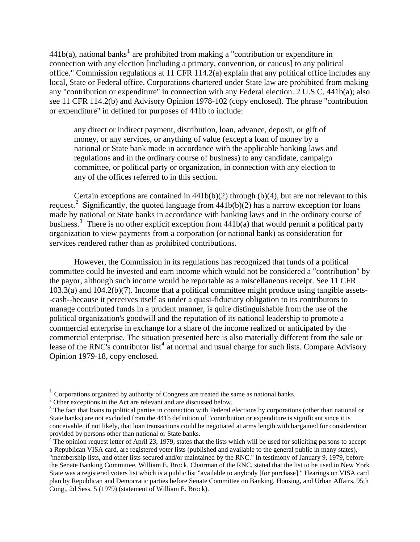$441b(a)$  $441b(a)$  $441b(a)$ , national banks<sup>1</sup> are prohibited from making a "contribution or expenditure in connection with any election [including a primary, convention, or caucus] to any politic al office." Commission regulations at 11 CFR 114.2(a) explain that any political office includes any local, State or Federal office. Corporations chartered under State law are prohibited from making any "contribution or expenditure" in connection with any Federal election. 2 U.S.C. 441b(a); also see 11 CFR 114.2(b) and Advisory Opinion 1978-102 (copy enclosed). The phrase "contribution or expenditure" in defined for purposes of 441b to include :

any direct or indirect payment, distribution, loan, advance, deposit, or gift of money, or any services, or anything of value (except a loan of money by a national or State bank made in accordance with the applicable banking laws and regulations and in the ordinary course of business) to any candidate, campaign committee, or political party or organization, in connection with any election to any of the offices referred to in this section.

Certain exceptions are contained in  $441b(b)(2)$  through (b)(4), but are not relevant to this request.<sup>[2](#page-3-1)</sup> Significantly, the quoted language from  $441b(b)(2)$  has a narrow exception for loans made by national or State banks in accordance with banking laws and in the ordinary course of business.<sup>[3](#page-3-2)</sup> There is no other explicit exception from  $441b(a)$  that would permit a political party organization to view payments from a corporation (or national bank) as consideration for services rendered rather than as prohibited contributions.

However, the Commission in its regulations has recognized that funds of a political committee could be invested and earn income which would not be considered a "contribution" by the payor, although such income would be reportable as a miscellaneous receipt. See 11 CFR 103.3(a) and 104.2(b)(7). Income that a political committee might produce using tangible assets- -cash--because it perceives itself as under a quasi-fiduciary obligation to its contributors to manage contributed funds in a prudent manner, is quite distinguishable from the use of the political organization's goodwill and the reputation of its national leadership to promote a commercial enterprise in exchange for a share of the income realized or anticipated by the commercial enterprise. The situation presented here is also materially different from the sale or lease of the RNC's contributor list<sup>[4](#page-3-3)</sup> at normal and usual charge for such lists. Compare Advisory Opinion 1979-18, copy enclosed.

 $\overline{a}$ 

<span id="page-3-0"></span> $1 \text{ Corporation}$  Corporations organized by authority of Congress are treated the same as national banks.

<span id="page-3-1"></span> $2^2$  Other exceptions in the Act are relevant and are discussed below.

<span id="page-3-2"></span><sup>&</sup>lt;sup>3</sup> The fact that loans to political parties in connection with Federal elections by corporations (other than national or State banks) are not excluded from the 441b definition of "contribution or expenditure is significant since it is conceivable, if not likely, that loan transactions could be negotiated at arms length with bargained for consideration provided by persons other than national or State banks.<br><sup>4</sup> The opinion request letter of April 23, 1979, states the

<span id="page-3-3"></span>The opinion request letter of April 23, 1979, states that the lists which will be used for soliciting persons to accept a Republican VISA card, are registered voter lists (published and available to the general public in many states), "membership lists, and other lists secured and/or maintained by the RNC." In testimony of January 9, 1979, before the Senate Banking Committee, William E. Brock, Chairman of the RNC, stated that the list to be used in New York State was a registered voters list which is a public list "available to anybody [for purchase]." Hearings on VISA card plan by Republican and Democratic parties before Senate Committee on Banking, Housing, and Urban Affairs, 95th Cong., 2d Sess. 5 (1979) (statement of William E. Brock).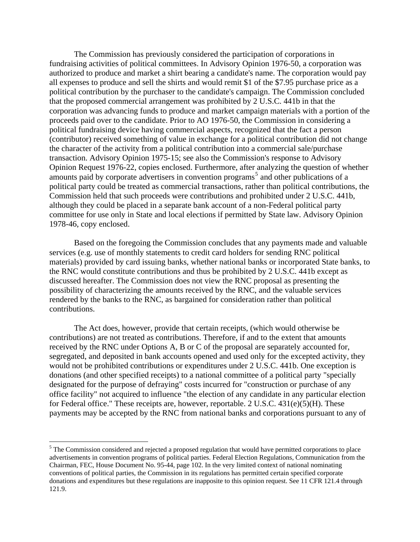The Commission has previously considered the participation of corporations in fundraising activities of political committees. In Advisory Opinion 1976-50, a corporation was authorized to produce and market a shirt bearing a candidate's name. The corporation would pay all expenses to produce and sell the shirts and would remit \$1 of the \$7.95 purchase price as a political contribution by the purchaser to the candidate's campaign. The Commission concluded that the proposed commercial arrangement was prohibited by 2 U.S.C. 441b in that the corporation was advancing funds to produce and market campaign materials with a portion of the proceeds paid over to the candidate. Prior to AO 1976-50, the Commission in considering a political fundraising device having commercial aspects, recognized that the fact a person (contributor) received something of value in exchange for a political contribution did not change the character of the activity from a political contribution into a commercial sale/purchase transaction. Advisory Opinion 1975-15; see also the Commission's response to Advisory Opinion Request 1976-22, copies enclosed. Furthermore, after analyzing the question of whether amounts paid by corporate advertisers in convention programs<sup>[5](#page-4-0)</sup> and other publications of a political party could be treated as commercial transactions, rather than political contributions, the Commission held that such proceeds were contributions and prohibited under 2 U.S.C. 441b, although they could be placed in a separate bank account of a non-Federal political party committee for use only in State and local elections if permitted by State law. Advisory Opinion 1978-46, copy enclosed.

Based on the foregoing the Commission concludes that any payments made and valuable services (e.g. use of monthly statements to credit card holders for sending RNC political materials) provided by card issuing banks, whether national banks or incorporated State banks, to the RNC would constitute contributions and thus be prohibited by 2 U.S.C. 441b except as discussed hereafter. The Commission does not view the RNC proposal as presenting the possibility of characterizing the amounts received by the RNC, and the valuable services rendered by the banks to the RNC, as bargained for consideration rather than political contributions.

The Act does, however, provide that certain receipts, (which would otherwise be contributions) are not treated as contributions. Therefore, if and to the extent that amounts received by the RNC under Options A, B or C of the proposal are separately accounted for, segregated, and deposited in bank accounts opened and used only for the excepted activity, they would not be prohibited contributions or expenditures under 2 U.S.C. 441b. One exception is donations (and other specified receipts) to a national committee of a political party "specially designated for the purpose of defraying" costs incurred for "construction or purchase of any office facility" not acquired to influence "the election of any candidate in any particular election for Federal office." These receipts are, however, reportable. 2 U.S.C.  $431(e)(5)(H)$ . These payments may be accepted by the RNC from national banks and corporations pursuant to any of

 $\overline{a}$ 

<span id="page-4-0"></span> $<sup>5</sup>$  The Commission considered and rejected a proposed regulation that would have permitted corporations to place</sup> advertisements in convention programs of political parties. Federal Election Regulations, Communication from the Chairman, FEC, House Document No. 95-44, page 102. In the very limited context of national nominating conventions of political parties, the Commission in its regulations has permitted certain specified corporate donations and expenditures but these regulations are inapposite to this opinion request. See 11 CFR 121.4 through 121.9.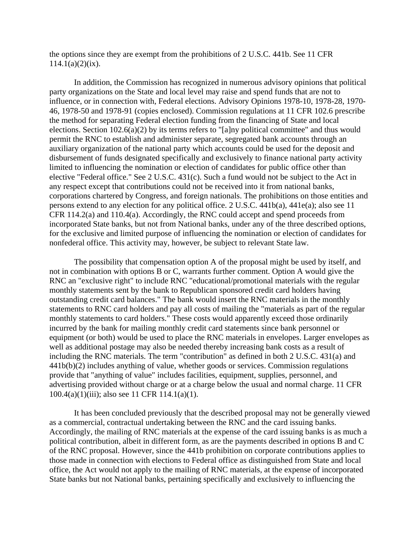the options since they are exempt from the prohibitions of 2 U.S.C. 441b. See 11 CFR  $114.1(a)(2)(ix)$ .

In addition, the Commission has recognized in numerous advisory opinions that political party organizations on the State and local level may raise and spend funds that are not to influence, or in connection with, Federal elections. Advisory Opinions 1978-10, 1978-28, 1970- 46, 1978-50 and 1978-91 (copies enclosed). Commission regulations at 11 CFR 102.6 prescribe the method for separating Federal election funding from the financing of State and local elections. Section 102.6(a)(2) by its terms refers to "[a]ny political committee" and thus would permit the RNC to establish and administer separate, segregated bank accounts through an auxiliary organization of the national party which accounts could be used for the deposit and disbursement of funds designated specifically and exclusively to finance national party activity limited to influencing the nomination or election of candidates for public office other than elective "Federal office." See 2 U.S.C. 431(c). Such a fund would not be subject to the Act in any respect except that contributions could not be received into it from national banks, corporations chartered by Congress, and foreign nationals. The prohibitions on those entities and persons extend to any election for any political office. 2 U.S.C. 441b(a), 441e(a); also see 11 CFR 114.2(a) and 110.4(a). Accordingly, the RNC could accept and spend proceeds from incorporated State banks, but not from National banks, under any of the three described options, for the exclusive and limited purpose of influencing the nomination or election of candidates for nonfederal office. This activity may, however, be subject to relevant State law.

The possibility that compensation option A of the proposal might be used by itself, and not in combination with options B or C, warrants further comment. Option A would give the RNC an "exclusive right" to include RNC "educational/promotional materials with the regular monthly statements sent by the bank to Republican sponsored credit card holders having outstanding credit card balances." The bank would insert the RNC materials in the monthly statements to RNC card holders and pay all costs of mailing the "materials as part of the regular monthly statements to card holders." These costs would apparently exceed those ordinarily incurred by the bank for mailing monthly credit card statements since bank personnel or equipment (or both) would be used to place the RNC materials in envelopes. Larger envelopes as well as additional postage may also be needed thereby increasing bank costs as a result of including the RNC materials. The term "contribution" as defined in both 2 U.S.C. 431(a) and 441b(b)(2) includes anything of value, whether goods or services. Commission regulations provide that "anything of value" includes facilities, equipment, supplies, personnel, and advertising provided without charge or at a charge below the usual and normal charge. 11 CFR 100.4(a)(1)(iii); also see 11 CFR 114.1(a)(1).

It has been concluded previously that the described proposal may not be generally viewed as a commercial, contractual undertaking between the RNC and the card issuing banks. Accordingly, the mailing of RNC materials at the expense of the card issuing banks is as much a political contribution, albeit in different form, as are the payments described in options B and C of the RNC proposal. However, since the 441b prohibition on corporate contributions applies to those made in connection with elections to Federal office as distinguished from State and local office, the Act would not apply to the mailing of RNC materials, at the expense of incorporated State banks but not National banks, pertaining specifically and exclusively to influencing the